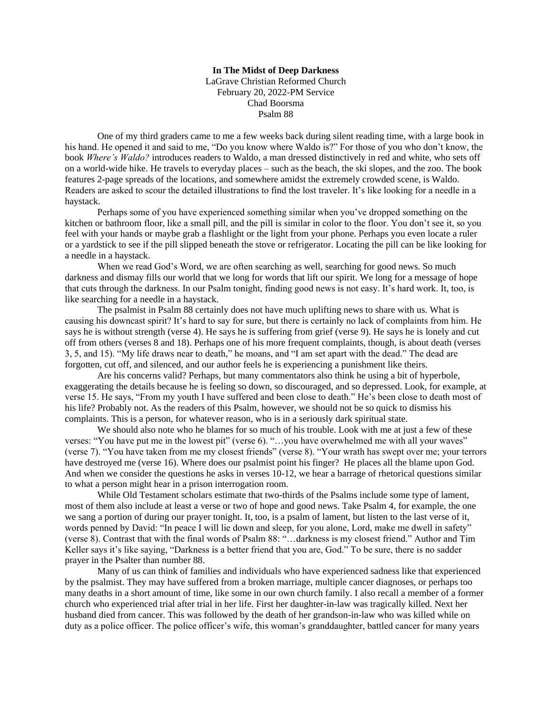## **In The Midst of Deep Darkness** LaGrave Christian Reformed Church February 20, 2022-PM Service Chad Boorsma Psalm 88

One of my third graders came to me a few weeks back during silent reading time, with a large book in his hand. He opened it and said to me, "Do you know where Waldo is?" For those of you who don't know, the book *Where's Waldo?* introduces readers to Waldo, a man dressed distinctively in red and white, who sets off on a world-wide hike. He travels to everyday places – such as the beach, the ski slopes, and the zoo. The book features 2-page spreads of the locations, and somewhere amidst the extremely crowded scene, is Waldo. Readers are asked to scour the detailed illustrations to find the lost traveler. It's like looking for a needle in a haystack.

Perhaps some of you have experienced something similar when you've dropped something on the kitchen or bathroom floor, like a small pill, and the pill is similar in color to the floor. You don't see it, so you feel with your hands or maybe grab a flashlight or the light from your phone. Perhaps you even locate a ruler or a yardstick to see if the pill slipped beneath the stove or refrigerator. Locating the pill can be like looking for a needle in a haystack.

When we read God's Word, we are often searching as well, searching for good news. So much darkness and dismay fills our world that we long for words that lift our spirit. We long for a message of hope that cuts through the darkness. In our Psalm tonight, finding good news is not easy. It's hard work. It, too, is like searching for a needle in a haystack.

The psalmist in Psalm 88 certainly does not have much uplifting news to share with us. What is causing his downcast spirit? It's hard to say for sure, but there is certainly no lack of complaints from him. He says he is without strength (verse 4). He says he is suffering from grief (verse 9). He says he is lonely and cut off from others (verses 8 and 18). Perhaps one of his more frequent complaints, though, is about death (verses 3, 5, and 15). "My life draws near to death," he moans, and "I am set apart with the dead." The dead are forgotten, cut off, and silenced, and our author feels he is experiencing a punishment like theirs.

Are his concerns valid? Perhaps, but many commentators also think he using a bit of hyperbole, exaggerating the details because he is feeling so down, so discouraged, and so depressed. Look, for example, at verse 15. He says, "From my youth I have suffered and been close to death." He's been close to death most of his life? Probably not. As the readers of this Psalm, however, we should not be so quick to dismiss his complaints. This is a person, for whatever reason, who is in a seriously dark spiritual state.

 We should also note who he blames for so much of his trouble. Look with me at just a few of these verses: "You have put me in the lowest pit" (verse 6). "…you have overwhelmed me with all your waves" (verse 7). "You have taken from me my closest friends" (verse 8). "Your wrath has swept over me; your terrors have destroyed me (verse 16). Where does our psalmist point his finger? He places all the blame upon God. And when we consider the questions he asks in verses 10-12, we hear a barrage of rhetorical questions similar to what a person might hear in a prison interrogation room.

While Old Testament scholars estimate that two-thirds of the Psalms include some type of lament, most of them also include at least a verse or two of hope and good news. Take Psalm 4, for example, the one we sang a portion of during our prayer tonight. It, too, is a psalm of lament, but listen to the last verse of it, words penned by David: "In peace I will lie down and sleep, for you alone, Lord, make me dwell in safety" (verse 8). Contrast that with the final words of Psalm 88: "…darkness is my closest friend." Author and Tim Keller says it's like saying, "Darkness is a better friend that you are, God." To be sure, there is no sadder prayer in the Psalter than number 88.

Many of us can think of families and individuals who have experienced sadness like that experienced by the psalmist. They may have suffered from a broken marriage, multiple cancer diagnoses, or perhaps too many deaths in a short amount of time, like some in our own church family. I also recall a member of a former church who experienced trial after trial in her life. First her daughter-in-law was tragically killed. Next her husband died from cancer. This was followed by the death of her grandson-in-law who was killed while on duty as a police officer. The police officer's wife, this woman's granddaughter, battled cancer for many years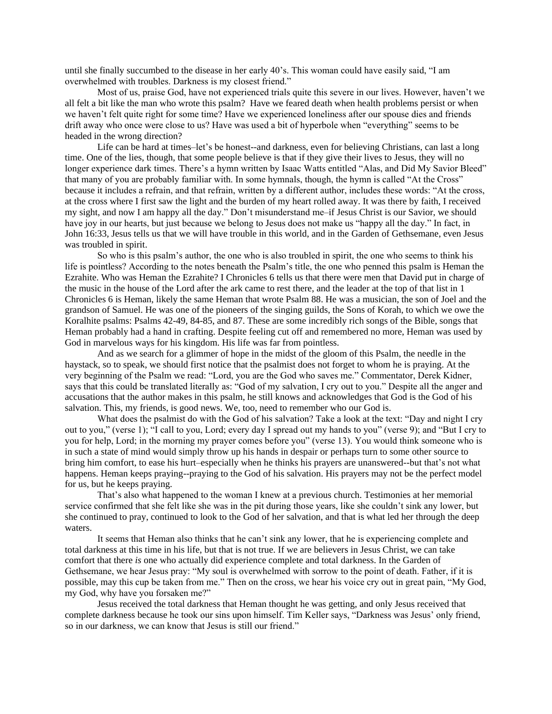until she finally succumbed to the disease in her early 40's. This woman could have easily said, "I am overwhelmed with troubles. Darkness is my closest friend."

Most of us, praise God, have not experienced trials quite this severe in our lives. However, haven't we all felt a bit like the man who wrote this psalm? Have we feared death when health problems persist or when we haven't felt quite right for some time? Have we experienced loneliness after our spouse dies and friends drift away who once were close to us? Have was used a bit of hyperbole when "everything" seems to be headed in the wrong direction?

Life can be hard at times–let's be honest--and darkness, even for believing Christians, can last a long time. One of the lies, though, that some people believe is that if they give their lives to Jesus, they will no longer experience dark times. There's a hymn written by Isaac Watts entitled "Alas, and Did My Savior Bleed" that many of you are probably familiar with. In some hymnals, though, the hymn is called "At the Cross" because it includes a refrain, and that refrain, written by a different author, includes these words: "At the cross, at the cross where I first saw the light and the burden of my heart rolled away. It was there by faith, I received my sight, and now I am happy all the day." Don't misunderstand me–if Jesus Christ is our Savior, we should have joy in our hearts, but just because we belong to Jesus does not make us "happy all the day." In fact, in John 16:33, Jesus tells us that we will have trouble in this world, and in the Garden of Gethsemane, even Jesus was troubled in spirit.

So who is this psalm's author, the one who is also troubled in spirit, the one who seems to think his life is pointless? According to the notes beneath the Psalm's title, the one who penned this psalm is Heman the Ezrahite. Who was Heman the Ezrahite? I Chronicles 6 tells us that there were men that David put in charge of the music in the house of the Lord after the ark came to rest there, and the leader at the top of that list in 1 Chronicles 6 is Heman, likely the same Heman that wrote Psalm 88. He was a musician, the son of Joel and the grandson of Samuel. He was one of the pioneers of the singing guilds, the Sons of Korah, to which we owe the Koralhite psalms: Psalms 42-49, 84-85, and 87. These are some incredibly rich songs of the Bible, songs that Heman probably had a hand in crafting. Despite feeling cut off and remembered no more, Heman was used by God in marvelous ways for his kingdom. His life was far from pointless.

And as we search for a glimmer of hope in the midst of the gloom of this Psalm, the needle in the haystack, so to speak, we should first notice that the psalmist does not forget to whom he is praying. At the very beginning of the Psalm we read: "Lord, you are the God who saves me." Commentator, Derek Kidner, says that this could be translated literally as: "God of my salvation, I cry out to you." Despite all the anger and accusations that the author makes in this psalm, he still knows and acknowledges that God is the God of his salvation. This, my friends, is good news. We, too, need to remember who our God is.

What does the psalmist do with the God of his salvation? Take a look at the text: "Day and night I cry out to you," (verse 1); "I call to you, Lord; every day I spread out my hands to you" (verse 9); and "But I cry to you for help, Lord; in the morning my prayer comes before you" (verse 13). You would think someone who is in such a state of mind would simply throw up his hands in despair or perhaps turn to some other source to bring him comfort, to ease his hurt–especially when he thinks his prayers are unanswered--but that's not what happens. Heman keeps praying--praying to the God of his salvation. His prayers may not be the perfect model for us, but he keeps praying.

That's also what happened to the woman I knew at a previous church. Testimonies at her memorial service confirmed that she felt like she was in the pit during those years, like she couldn't sink any lower, but she continued to pray, continued to look to the God of her salvation, and that is what led her through the deep waters.

It seems that Heman also thinks that he can't sink any lower, that he is experiencing complete and total darkness at this time in his life, but that is not true. If we are believers in Jesus Christ, we can take comfort that there *is* one who actually did experience complete and total darkness. In the Garden of Gethsemane, we hear Jesus pray: "My soul is overwhelmed with sorrow to the point of death. Father, if it is possible, may this cup be taken from me." Then on the cross, we hear his voice cry out in great pain, "My God, my God, why have you forsaken me?"

Jesus received the total darkness that Heman thought he was getting, and only Jesus received that complete darkness because he took our sins upon himself. Tim Keller says, "Darkness was Jesus' only friend, so in our darkness, we can know that Jesus is still our friend."